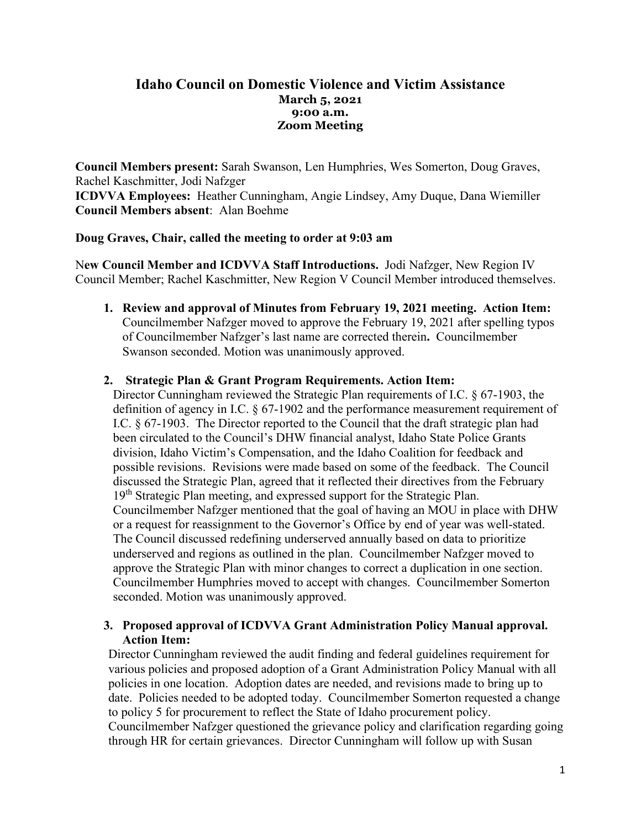## **Idaho Council on Domestic Violence and Victim Assistance March 5, 2021 9:00 a.m. Zoom Meeting**

**Council Members present:** Sarah Swanson, Len Humphries, Wes Somerton, Doug Graves, Rachel Kaschmitter, Jodi Nafzger **ICDVVA Employees:** Heather Cunningham, Angie Lindsey, Amy Duque, Dana Wiemiller **Council Members absent**: Alan Boehme

## **Doug Graves, Chair, called the meeting to order at 9:03 am**

N**ew Council Member and ICDVVA Staff Introductions.** Jodi Nafzger, New Region IV Council Member; Rachel Kaschmitter, New Region V Council Member introduced themselves.

**1. Review and approval of Minutes from February 19, 2021 meeting. Action Item:**  Councilmember Nafzger moved to approve the February 19, 2021 after spelling typos of Councilmember Nafzger's last name are corrected therein**.** Councilmember Swanson seconded. Motion was unanimously approved.

#### **2. Strategic Plan & Grant Program Requirements. Action Item:**

Director Cunningham reviewed the Strategic Plan requirements of I.C. § 67-1903, the definition of agency in I.C. § 67-1902 and the performance measurement requirement of I.C. § 67-1903. The Director reported to the Council that the draft strategic plan had been circulated to the Council's DHW financial analyst, Idaho State Police Grants division, Idaho Victim's Compensation, and the Idaho Coalition for feedback and possible revisions. Revisions were made based on some of the feedback. The Council discussed the Strategic Plan, agreed that it reflected their directives from the February 19<sup>th</sup> Strategic Plan meeting, and expressed support for the Strategic Plan. Councilmember Nafzger mentioned that the goal of having an MOU in place with DHW or a request for reassignment to the Governor's Office by end of year was well-stated. The Council discussed redefining underserved annually based on data to prioritize underserved and regions as outlined in the plan. Councilmember Nafzger moved to approve the Strategic Plan with minor changes to correct a duplication in one section. Councilmember Humphries moved to accept with changes. Councilmember Somerton seconded. Motion was unanimously approved.

## **3. Proposed approval of ICDVVA Grant Administration Policy Manual approval. Action Item:**

Director Cunningham reviewed the audit finding and federal guidelines requirement for various policies and proposed adoption of a Grant Administration Policy Manual with all policies in one location. Adoption dates are needed, and revisions made to bring up to date. Policies needed to be adopted today. Councilmember Somerton requested a change to policy 5 for procurement to reflect the State of Idaho procurement policy. Councilmember Nafzger questioned the grievance policy and clarification regarding going through HR for certain grievances. Director Cunningham will follow up with Susan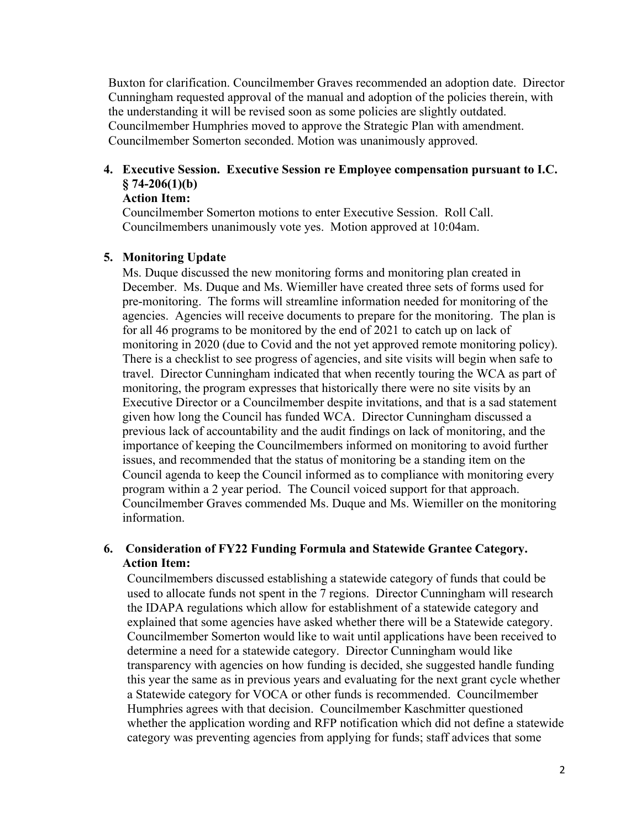Buxton for clarification. Councilmember Graves recommended an adoption date. Director Cunningham requested approval of the manual and adoption of the policies therein, with the understanding it will be revised soon as some policies are slightly outdated. Councilmember Humphries moved to approve the Strategic Plan with amendment. Councilmember Somerton seconded. Motion was unanimously approved.

# **4. Executive Session. Executive Session re Employee compensation pursuant to I.C. § 74-206(1)(b)**

## **Action Item:**

Councilmember Somerton motions to enter Executive Session. Roll Call. Councilmembers unanimously vote yes. Motion approved at 10:04am.

## **5. Monitoring Update**

Ms. Duque discussed the new monitoring forms and monitoring plan created in December. Ms. Duque and Ms. Wiemiller have created three sets of forms used for pre-monitoring. The forms will streamline information needed for monitoring of the agencies. Agencies will receive documents to prepare for the monitoring. The plan is for all 46 programs to be monitored by the end of 2021 to catch up on lack of monitoring in 2020 (due to Covid and the not yet approved remote monitoring policy). There is a checklist to see progress of agencies, and site visits will begin when safe to travel. Director Cunningham indicated that when recently touring the WCA as part of monitoring, the program expresses that historically there were no site visits by an Executive Director or a Councilmember despite invitations, and that is a sad statement given how long the Council has funded WCA. Director Cunningham discussed a previous lack of accountability and the audit findings on lack of monitoring, and the importance of keeping the Councilmembers informed on monitoring to avoid further issues, and recommended that the status of monitoring be a standing item on the Council agenda to keep the Council informed as to compliance with monitoring every program within a 2 year period. The Council voiced support for that approach. Councilmember Graves commended Ms. Duque and Ms. Wiemiller on the monitoring information.

## **6. Consideration of FY22 Funding Formula and Statewide Grantee Category. Action Item:**

Councilmembers discussed establishing a statewide category of funds that could be used to allocate funds not spent in the 7 regions. Director Cunningham will research the IDAPA regulations which allow for establishment of a statewide category and explained that some agencies have asked whether there will be a Statewide category. Councilmember Somerton would like to wait until applications have been received to determine a need for a statewide category. Director Cunningham would like transparency with agencies on how funding is decided, she suggested handle funding this year the same as in previous years and evaluating for the next grant cycle whether a Statewide category for VOCA or other funds is recommended. Councilmember Humphries agrees with that decision. Councilmember Kaschmitter questioned whether the application wording and RFP notification which did not define a statewide category was preventing agencies from applying for funds; staff advices that some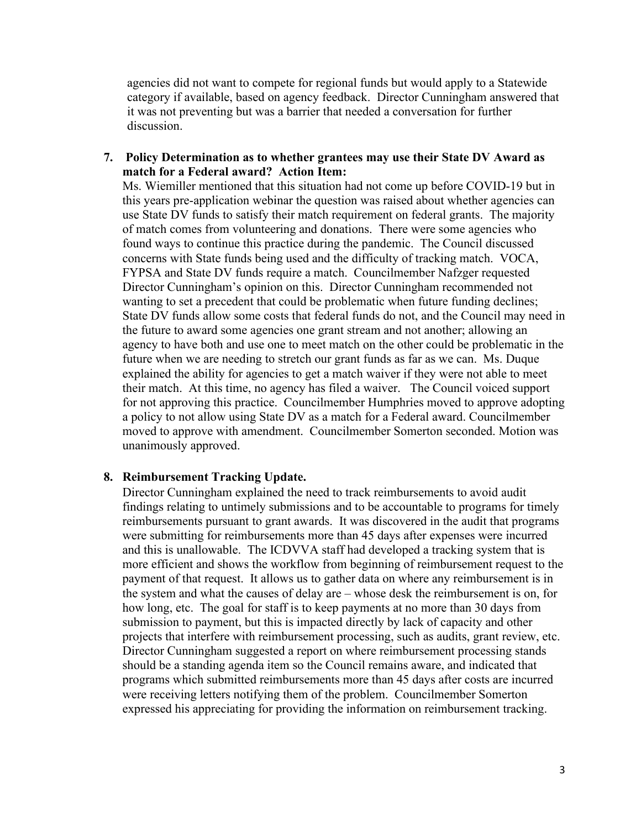agencies did not want to compete for regional funds but would apply to a Statewide category if available, based on agency feedback. Director Cunningham answered that it was not preventing but was a barrier that needed a conversation for further discussion.

**7. Policy Determination as to whether grantees may use their State DV Award as match for a Federal award? Action Item:** 

Ms. Wiemiller mentioned that this situation had not come up before COVID-19 but in this years pre-application webinar the question was raised about whether agencies can use State DV funds to satisfy their match requirement on federal grants. The majority of match comes from volunteering and donations. There were some agencies who found ways to continue this practice during the pandemic. The Council discussed concerns with State funds being used and the difficulty of tracking match. VOCA, FYPSA and State DV funds require a match. Councilmember Nafzger requested Director Cunningham's opinion on this. Director Cunningham recommended not wanting to set a precedent that could be problematic when future funding declines; State DV funds allow some costs that federal funds do not, and the Council may need in the future to award some agencies one grant stream and not another; allowing an agency to have both and use one to meet match on the other could be problematic in the future when we are needing to stretch our grant funds as far as we can. Ms. Duque explained the ability for agencies to get a match waiver if they were not able to meet their match. At this time, no agency has filed a waiver. The Council voiced support for not approving this practice. Councilmember Humphries moved to approve adopting a policy to not allow using State DV as a match for a Federal award. Councilmember moved to approve with amendment. Councilmember Somerton seconded. Motion was unanimously approved.

#### **8. Reimbursement Tracking Update.**

Director Cunningham explained the need to track reimbursements to avoid audit findings relating to untimely submissions and to be accountable to programs for timely reimbursements pursuant to grant awards. It was discovered in the audit that programs were submitting for reimbursements more than 45 days after expenses were incurred and this is unallowable. The ICDVVA staff had developed a tracking system that is more efficient and shows the workflow from beginning of reimbursement request to the payment of that request. It allows us to gather data on where any reimbursement is in the system and what the causes of delay are – whose desk the reimbursement is on, for how long, etc. The goal for staff is to keep payments at no more than 30 days from submission to payment, but this is impacted directly by lack of capacity and other projects that interfere with reimbursement processing, such as audits, grant review, etc. Director Cunningham suggested a report on where reimbursement processing stands should be a standing agenda item so the Council remains aware, and indicated that programs which submitted reimbursements more than 45 days after costs are incurred were receiving letters notifying them of the problem. Councilmember Somerton expressed his appreciating for providing the information on reimbursement tracking.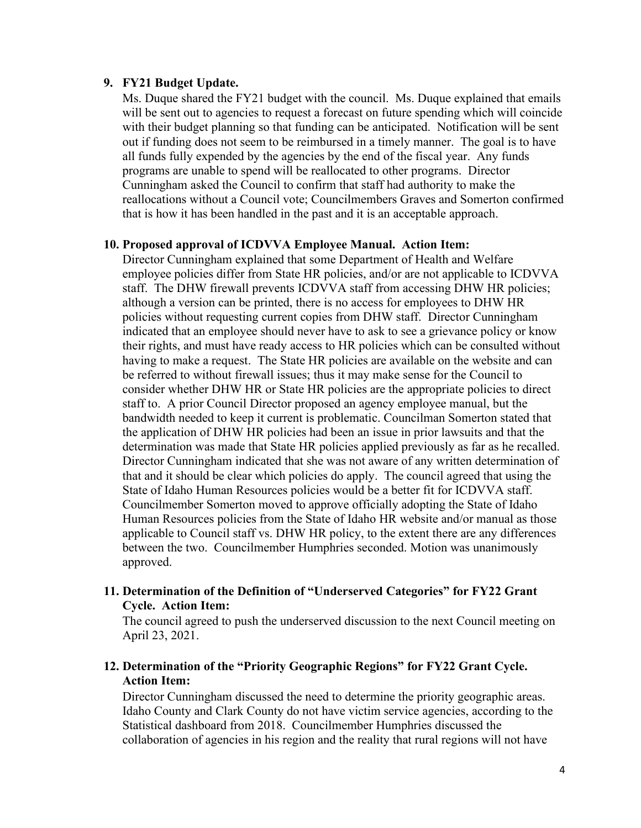#### **9. FY21 Budget Update.**

Ms. Duque shared the FY21 budget with the council. Ms. Duque explained that emails will be sent out to agencies to request a forecast on future spending which will coincide with their budget planning so that funding can be anticipated. Notification will be sent out if funding does not seem to be reimbursed in a timely manner. The goal is to have all funds fully expended by the agencies by the end of the fiscal year. Any funds programs are unable to spend will be reallocated to other programs. Director Cunningham asked the Council to confirm that staff had authority to make the reallocations without a Council vote; Councilmembers Graves and Somerton confirmed that is how it has been handled in the past and it is an acceptable approach.

#### **10. Proposed approval of ICDVVA Employee Manual. Action Item:**

Director Cunningham explained that some Department of Health and Welfare employee policies differ from State HR policies, and/or are not applicable to ICDVVA staff. The DHW firewall prevents ICDVVA staff from accessing DHW HR policies; although a version can be printed, there is no access for employees to DHW HR policies without requesting current copies from DHW staff. Director Cunningham indicated that an employee should never have to ask to see a grievance policy or know their rights, and must have ready access to HR policies which can be consulted without having to make a request. The State HR policies are available on the website and can be referred to without firewall issues; thus it may make sense for the Council to consider whether DHW HR or State HR policies are the appropriate policies to direct staff to. A prior Council Director proposed an agency employee manual, but the bandwidth needed to keep it current is problematic. Councilman Somerton stated that the application of DHW HR policies had been an issue in prior lawsuits and that the determination was made that State HR policies applied previously as far as he recalled. Director Cunningham indicated that she was not aware of any written determination of that and it should be clear which policies do apply. The council agreed that using the State of Idaho Human Resources policies would be a better fit for ICDVVA staff. Councilmember Somerton moved to approve officially adopting the State of Idaho Human Resources policies from the State of Idaho HR website and/or manual as those applicable to Council staff vs. DHW HR policy, to the extent there are any differences between the two. Councilmember Humphries seconded. Motion was unanimously approved.

## **11. Determination of the Definition of "Underserved Categories" for FY22 Grant Cycle. Action Item:**

The council agreed to push the underserved discussion to the next Council meeting on April 23, 2021.

## **12. Determination of the "Priority Geographic Regions" for FY22 Grant Cycle. Action Item:**

Director Cunningham discussed the need to determine the priority geographic areas. Idaho County and Clark County do not have victim service agencies, according to the Statistical dashboard from 2018. Councilmember Humphries discussed the collaboration of agencies in his region and the reality that rural regions will not have